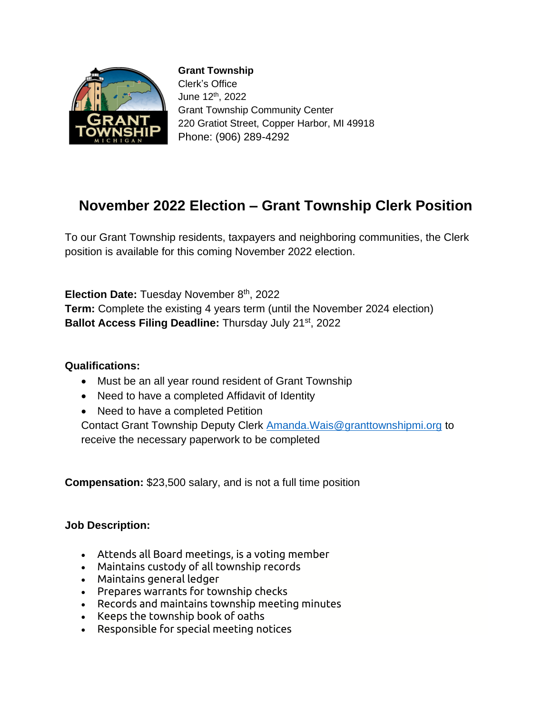

**Grant Township** Clerk's Office June 12th, 2022 Grant Township Community Center 220 Gratiot Street, Copper Harbor, MI 49918 Phone: (906) 289-4292

# **November 2022 Election – Grant Township Clerk Position**

To our Grant Township residents, taxpayers and neighboring communities, the Clerk position is available for this coming November 2022 election.

**Election Date:** Tuesday November 8<sup>th</sup>, 2022 **Term:** Complete the existing 4 years term (until the November 2024 election) **Ballot Access Filing Deadline:** Thursday July 21st, 2022

### **Qualifications:**

- Must be an all year round resident of Grant Township
- Need to have a completed Affidavit of Identity
- Need to have a completed Petition

Contact Grant Township Deputy Clerk [Amanda.Wais@granttownshipmi.org](mailto:Amanda.Wais@granttownshipmi.org) to receive the necessary paperwork to be completed

**Compensation:** \$23,500 salary, and is not a full time position

### **Job Description:**

- Attends all Board meetings, is a voting member
- Maintains custody of all township records
- Maintains general ledger
- Prepares warrants for township checks
- Records and maintains township meeting minutes
- Keeps the township book of oaths
- Responsible for special meeting notices